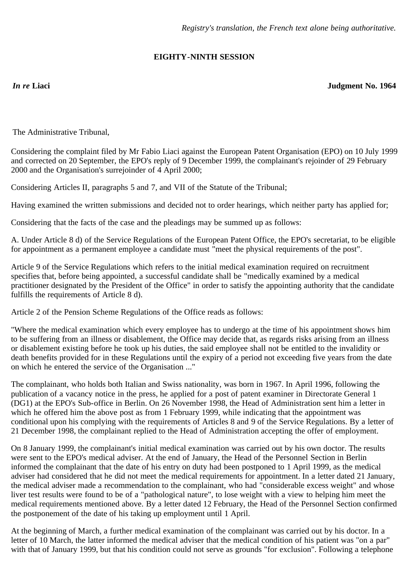## **EIGHTY-NINTH SESSION**

*In re* **Liaci Judgment No. 1964**

The Administrative Tribunal,

Considering the complaint filed by Mr Fabio Liaci against the European Patent Organisation (EPO) on 10 July 1999 and corrected on 20 September, the EPO's reply of 9 December 1999, the complainant's rejoinder of 29 February 2000 and the Organisation's surrejoinder of 4 April 2000;

Considering Articles II, paragraphs 5 and 7, and VII of the Statute of the Tribunal;

Having examined the written submissions and decided not to order hearings, which neither party has applied for;

Considering that the facts of the case and the pleadings may be summed up as follows:

A. Under Article 8 d) of the Service Regulations of the European Patent Office, the EPO's secretariat, to be eligible for appointment as a permanent employee a candidate must "meet the physical requirements of the post".

Article 9 of the Service Regulations which refers to the initial medical examination required on recruitment specifies that, before being appointed, a successful candidate shall be "medically examined by a medical practitioner designated by the President of the Office" in order to satisfy the appointing authority that the candidate fulfills the requirements of Article 8 d).

Article 2 of the Pension Scheme Regulations of the Office reads as follows:

"Where the medical examination which every employee has to undergo at the time of his appointment shows him to be suffering from an illness or disablement, the Office may decide that, as regards risks arising from an illness or disablement existing before he took up his duties, the said employee shall not be entitled to the invalidity or death benefits provided for in these Regulations until the expiry of a period not exceeding five years from the date on which he entered the service of the Organisation ..."

The complainant, who holds both Italian and Swiss nationality, was born in 1967. In April 1996, following the publication of a vacancy notice in the press, he applied for a post of patent examiner in Directorate General 1 (DG1) at the EPO's Sub-office in Berlin. On 26 November 1998, the Head of Administration sent him a letter in which he offered him the above post as from 1 February 1999, while indicating that the appointment was conditional upon his complying with the requirements of Articles 8 and 9 of the Service Regulations. By a letter of 21 December 1998, the complainant replied to the Head of Administration accepting the offer of employment.

On 8 January 1999, the complainant's initial medical examination was carried out by his own doctor. The results were sent to the EPO's medical adviser. At the end of January, the Head of the Personnel Section in Berlin informed the complainant that the date of his entry on duty had been postponed to 1 April 1999, as the medical adviser had considered that he did not meet the medical requirements for appointment. In a letter dated 21 January, the medical adviser made a recommendation to the complainant, who had "considerable excess weight" and whose liver test results were found to be of a "pathological nature", to lose weight with a view to helping him meet the medical requirements mentioned above. By a letter dated 12 February, the Head of the Personnel Section confirmed the postponement of the date of his taking up employment until 1 April.

At the beginning of March, a further medical examination of the complainant was carried out by his doctor. In a letter of 10 March, the latter informed the medical adviser that the medical condition of his patient was "on a par" with that of January 1999, but that his condition could not serve as grounds "for exclusion". Following a telephone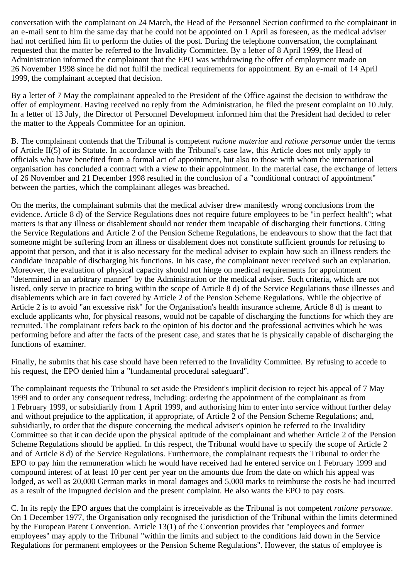conversation with the complainant on 24 March, the Head of the Personnel Section confirmed to the complainant in an e-mail sent to him the same day that he could not be appointed on 1 April as foreseen, as the medical adviser had not certified him fit to perform the duties of the post. During the telephone conversation, the complainant requested that the matter be referred to the Invalidity Committee. By a letter of 8 April 1999, the Head of Administration informed the complainant that the EPO was withdrawing the offer of employment made on 26 November 1998 since he did not fulfil the medical requirements for appointment. By an e-mail of 14 April 1999, the complainant accepted that decision.

By a letter of 7 May the complainant appealed to the President of the Office against the decision to withdraw the offer of employment. Having received no reply from the Administration, he filed the present complaint on 10 July. In a letter of 13 July, the Director of Personnel Development informed him that the President had decided to refer the matter to the Appeals Committee for an opinion.

B. The complainant contends that the Tribunal is competent *ratione materiae* and *ratione personae* under the terms of Article II(5) of its Statute. In accordance with the Tribunal's case law, this Article does not only apply to officials who have benefited from a formal act of appointment, but also to those with whom the international organisation has concluded a contract with a view to their appointment. In the material case, the exchange of letters of 26 November and 21 December 1998 resulted in the conclusion of a "conditional contract of appointment" between the parties, which the complainant alleges was breached.

On the merits, the complainant submits that the medical adviser drew manifestly wrong conclusions from the evidence. Article 8 d) of the Service Regulations does not require future employees to be "in perfect health"; what matters is that any illness or disablement should not render them incapable of discharging their functions. Citing the Service Regulations and Article 2 of the Pension Scheme Regulations, he endeavours to show that the fact that someone might be suffering from an illness or disablement does not constitute sufficient grounds for refusing to appoint that person, and that it is also necessary for the medical adviser to explain how such an illness renders the candidate incapable of discharging his functions. In his case, the complainant never received such an explanation. Moreover, the evaluation of physical capacity should not hinge on medical requirements for appointment "determined in an arbitrary manner" by the Administration or the medical adviser. Such criteria, which are not listed, only serve in practice to bring within the scope of Article 8 d) of the Service Regulations those illnesses and disablements which are in fact covered by Article 2 of the Pension Scheme Regulations. While the objective of Article 2 is to avoid "an excessive risk" for the Organisation's health insurance scheme, Article 8 d) is meant to exclude applicants who, for physical reasons, would not be capable of discharging the functions for which they are recruited. The complainant refers back to the opinion of his doctor and the professional activities which he was performing before and after the facts of the present case, and states that he is physically capable of discharging the functions of examiner.

Finally, he submits that his case should have been referred to the Invalidity Committee. By refusing to accede to his request, the EPO denied him a "fundamental procedural safeguard".

The complainant requests the Tribunal to set aside the President's implicit decision to reject his appeal of 7 May 1999 and to order any consequent redress, including: ordering the appointment of the complainant as from 1 February 1999, or subsidiarily from 1 April 1999, and authorising him to enter into service without further delay and without prejudice to the application, if appropriate, of Article 2 of the Pension Scheme Regulations; and, subsidiarily, to order that the dispute concerning the medical adviser's opinion be referred to the Invalidity Committee so that it can decide upon the physical aptitude of the complainant and whether Article 2 of the Pension Scheme Regulations should be applied. In this respect, the Tribunal would have to specify the scope of Article 2 and of Article 8 d) of the Service Regulations. Furthermore, the complainant requests the Tribunal to order the EPO to pay him the remuneration which he would have received had he entered service on 1 February 1999 and compound interest of at least 10 per cent per year on the amounts due from the date on which his appeal was lodged, as well as 20,000 German marks in moral damages and 5,000 marks to reimburse the costs he had incurred as a result of the impugned decision and the present complaint. He also wants the EPO to pay costs.

C. In its reply the EPO argues that the complaint is irreceivable as the Tribunal is not competent *ratione personae*. On 1 December 1977, the Organisation only recognised the jurisdiction of the Tribunal within the limits determined by the European Patent Convention. Article 13(1) of the Convention provides that "employees and former employees" may apply to the Tribunal "within the limits and subject to the conditions laid down in the Service Regulations for permanent employees or the Pension Scheme Regulations". However, the status of employee is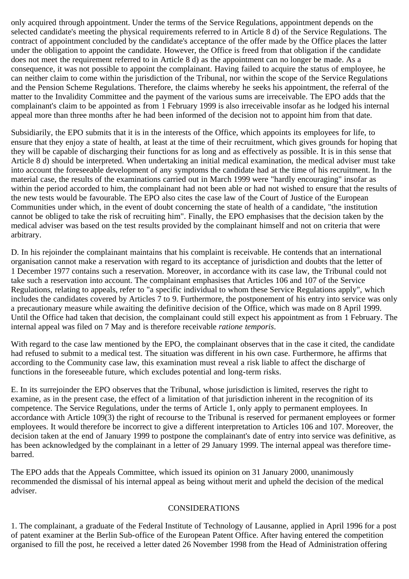only acquired through appointment. Under the terms of the Service Regulations, appointment depends on the selected candidate's meeting the physical requirements referred to in Article 8 d) of the Service Regulations. The contract of appointment concluded by the candidate's acceptance of the offer made by the Office places the latter under the obligation to appoint the candidate. However, the Office is freed from that obligation if the candidate does not meet the requirement referred to in Article 8 d) as the appointment can no longer be made. As a consequence, it was not possible to appoint the complainant. Having failed to acquire the status of employee, he can neither claim to come within the jurisdiction of the Tribunal, nor within the scope of the Service Regulations and the Pension Scheme Regulations. Therefore, the claims whereby he seeks his appointment, the referral of the matter to the Invalidity Committee and the payment of the various sums are irreceivable. The EPO adds that the complainant's claim to be appointed as from 1 February 1999 is also irreceivable insofar as he lodged his internal appeal more than three months after he had been informed of the decision not to appoint him from that date.

Subsidiarily, the EPO submits that it is in the interests of the Office, which appoints its employees for life, to ensure that they enjoy a state of health, at least at the time of their recruitment, which gives grounds for hoping that they will be capable of discharging their functions for as long and as effectively as possible. It is in this sense that Article 8 d) should be interpreted. When undertaking an initial medical examination, the medical adviser must take into account the foreseeable development of any symptoms the candidate had at the time of his recruitment. In the material case, the results of the examinations carried out in March 1999 were "hardly encouraging" insofar as within the period accorded to him, the complainant had not been able or had not wished to ensure that the results of the new tests would be favourable. The EPO also cites the case law of the Court of Justice of the European Communities under which, in the event of doubt concerning the state of health of a candidate, "the institution cannot be obliged to take the risk of recruiting him". Finally, the EPO emphasises that the decision taken by the medical adviser was based on the test results provided by the complainant himself and not on criteria that were arbitrary.

D. In his rejoinder the complainant maintains that his complaint is receivable. He contends that an international organisation cannot make a reservation with regard to its acceptance of jurisdiction and doubts that the letter of 1 December 1977 contains such a reservation. Moreover, in accordance with its case law, the Tribunal could not take such a reservation into account. The complainant emphasises that Articles 106 and 107 of the Service Regulations, relating to appeals, refer to "a specific individual to whom these Service Regulations apply", which includes the candidates covered by Articles 7 to 9. Furthermore, the postponement of his entry into service was only a precautionary measure while awaiting the definitive decision of the Office, which was made on 8 April 1999. Until the Office had taken that decision, the complainant could still expect his appointment as from 1 February. The internal appeal was filed on 7 May and is therefore receivable *ratione temporis*.

With regard to the case law mentioned by the EPO, the complainant observes that in the case it cited, the candidate had refused to submit to a medical test. The situation was different in his own case. Furthermore, he affirms that according to the Community case law, this examination must reveal a risk liable to affect the discharge of functions in the foreseeable future, which excludes potential and long-term risks.

E. In its surrejoinder the EPO observes that the Tribunal, whose jurisdiction is limited, reserves the right to examine, as in the present case, the effect of a limitation of that jurisdiction inherent in the recognition of its competence. The Service Regulations, under the terms of Article 1, only apply to permanent employees. In accordance with Article 109(3) the right of recourse to the Tribunal is reserved for permanent employees or former employees. It would therefore be incorrect to give a different interpretation to Articles 106 and 107. Moreover, the decision taken at the end of January 1999 to postpone the complainant's date of entry into service was definitive, as has been acknowledged by the complainant in a letter of 29 January 1999. The internal appeal was therefore timebarred.

The EPO adds that the Appeals Committee, which issued its opinion on 31 January 2000, unanimously recommended the dismissal of his internal appeal as being without merit and upheld the decision of the medical adviser.

## CONSIDERATIONS

1. The complainant, a graduate of the Federal Institute of Technology of Lausanne, applied in April 1996 for a post of patent examiner at the Berlin Sub-office of the European Patent Office. After having entered the competition organised to fill the post, he received a letter dated 26 November 1998 from the Head of Administration offering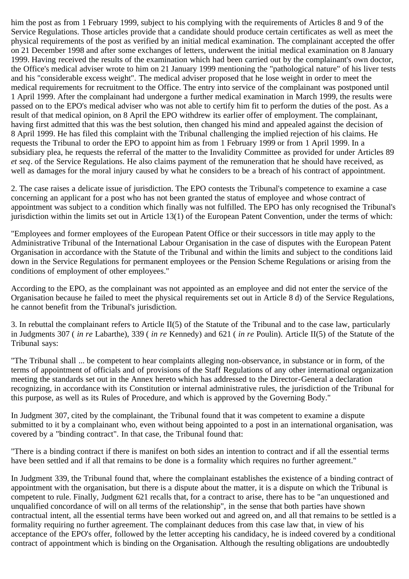him the post as from 1 February 1999, subject to his complying with the requirements of Articles 8 and 9 of the Service Regulations. Those articles provide that a candidate should produce certain certificates as well as meet the physical requirements of the post as verified by an initial medical examination. The complainant accepted the offer on 21 December 1998 and after some exchanges of letters, underwent the initial medical examination on 8 January 1999. Having received the results of the examination which had been carried out by the complainant's own doctor, the Office's medical adviser wrote to him on 21 January 1999 mentioning the "pathological nature" of his liver tests and his "considerable excess weight". The medical adviser proposed that he lose weight in order to meet the medical requirements for recruitment to the Office. The entry into service of the complainant was postponed until 1 April 1999. After the complainant had undergone a further medical examination in March 1999, the results were passed on to the EPO's medical adviser who was not able to certify him fit to perform the duties of the post. As a result of that medical opinion, on 8 April the EPO withdrew its earlier offer of employment. The complainant, having first admitted that this was the best solution, then changed his mind and appealed against the decision of 8 April 1999. He has filed this complaint with the Tribunal challenging the implied rejection of his claims. He requests the Tribunal to order the EPO to appoint him as from 1 February 1999 or from 1 April 1999. In a subsidiary plea, he requests the referral of the matter to the Invalidity Committee as provided for under Articles 89 *et seq*. of the Service Regulations. He also claims payment of the remuneration that he should have received, as well as damages for the moral injury caused by what he considers to be a breach of his contract of appointment.

2. The case raises a delicate issue of jurisdiction. The EPO contests the Tribunal's competence to examine a case concerning an applicant for a post who has not been granted the status of employee and whose contract of appointment was subject to a condition which finally was not fulfilled. The EPO has only recognised the Tribunal's jurisdiction within the limits set out in Article 13(1) of the European Patent Convention, under the terms of which:

"Employees and former employees of the European Patent Office or their successors in title may apply to the Administrative Tribunal of the International Labour Organisation in the case of disputes with the European Patent Organisation in accordance with the Statute of the Tribunal and within the limits and subject to the conditions laid down in the Service Regulations for permanent employees or the Pension Scheme Regulations or arising from the conditions of employment of other employees."

According to the EPO, as the complainant was not appointed as an employee and did not enter the service of the Organisation because he failed to meet the physical requirements set out in Article 8 d) of the Service Regulations, he cannot benefit from the Tribunal's jurisdiction.

3. In rebuttal the complainant refers to Article II(5) of the Statute of the Tribunal and to the case law, particularly in Judgments 307 ( *in re* Labarthe), 339 ( *in re* Kennedy) and 621 ( *in re* Poulin). Article II(5) of the Statute of the Tribunal says:

"The Tribunal shall ... be competent to hear complaints alleging non-observance, in substance or in form, of the terms of appointment of officials and of provisions of the Staff Regulations of any other international organization meeting the standards set out in the Annex hereto which has addressed to the Director-General a declaration recognizing, in accordance with its Constitution or internal administrative rules, the jurisdiction of the Tribunal for this purpose, as well as its Rules of Procedure, and which is approved by the Governing Body."

In Judgment 307, cited by the complainant, the Tribunal found that it was competent to examine a dispute submitted to it by a complainant who, even without being appointed to a post in an international organisation, was covered by a "binding contract". In that case, the Tribunal found that:

"There is a binding contract if there is manifest on both sides an intention to contract and if all the essential terms have been settled and if all that remains to be done is a formality which requires no further agreement."

In Judgment 339, the Tribunal found that, where the complainant establishes the existence of a binding contract of appointment with the organisation, but there is a dispute about the matter, it is a dispute on which the Tribunal is competent to rule. Finally, Judgment 621 recalls that, for a contract to arise, there has to be "an unquestioned and unqualified concordance of will on all terms of the relationship", in the sense that both parties have shown contractual intent, all the essential terms have been worked out and agreed on, and all that remains to be settled is a formality requiring no further agreement. The complainant deduces from this case law that, in view of his acceptance of the EPO's offer, followed by the letter accepting his candidacy, he is indeed covered by a conditional contract of appointment which is binding on the Organisation. Although the resulting obligations are undoubtedly